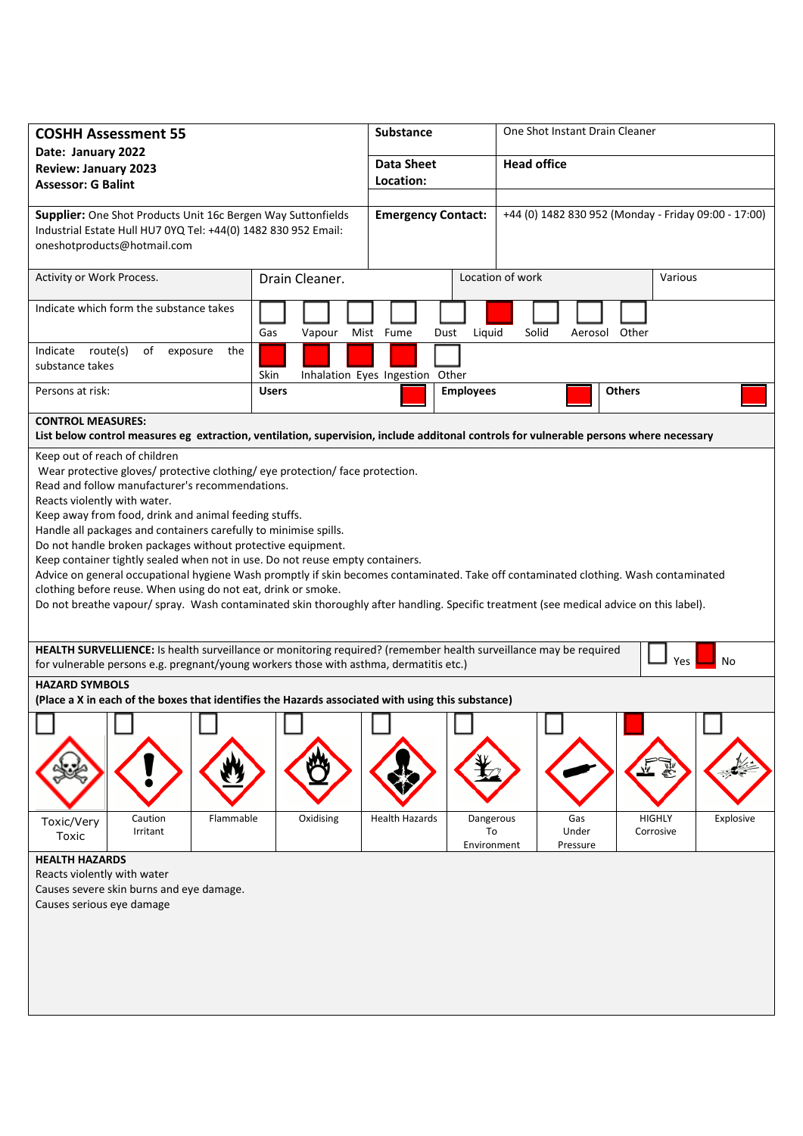| <b>COSHH Assessment 55</b><br>Date: January 2022                                                                                                                                                                                                                                                                                                                                                                                                                                                                                                                                                                                                                                                                                                                                                                                  |                                         | Substance                 |                                | One Shot Instant Drain Cleaner                       |               |                            |           |
|-----------------------------------------------------------------------------------------------------------------------------------------------------------------------------------------------------------------------------------------------------------------------------------------------------------------------------------------------------------------------------------------------------------------------------------------------------------------------------------------------------------------------------------------------------------------------------------------------------------------------------------------------------------------------------------------------------------------------------------------------------------------------------------------------------------------------------------|-----------------------------------------|---------------------------|--------------------------------|------------------------------------------------------|---------------|----------------------------|-----------|
| <b>Review: January 2023</b>                                                                                                                                                                                                                                                                                                                                                                                                                                                                                                                                                                                                                                                                                                                                                                                                       |                                         | <b>Data Sheet</b>         |                                | <b>Head office</b>                                   |               |                            |           |
| <b>Assessor: G Balint</b>                                                                                                                                                                                                                                                                                                                                                                                                                                                                                                                                                                                                                                                                                                                                                                                                         |                                         | Location:                 |                                |                                                      |               |                            |           |
|                                                                                                                                                                                                                                                                                                                                                                                                                                                                                                                                                                                                                                                                                                                                                                                                                                   |                                         |                           |                                |                                                      |               |                            |           |
| Supplier: One Shot Products Unit 16c Bergen Way Suttonfields<br>Industrial Estate Hull HU7 0YQ Tel: +44(0) 1482 830 952 Email:<br>oneshotproducts@hotmail.com                                                                                                                                                                                                                                                                                                                                                                                                                                                                                                                                                                                                                                                                     |                                         | <b>Emergency Contact:</b> |                                | +44 (0) 1482 830 952 (Monday - Friday 09:00 - 17:00) |               |                            |           |
| Activity or Work Process.                                                                                                                                                                                                                                                                                                                                                                                                                                                                                                                                                                                                                                                                                                                                                                                                         | Drain Cleaner.                          |                           | Location of work               |                                                      | Various       |                            |           |
| Indicate which form the substance takes                                                                                                                                                                                                                                                                                                                                                                                                                                                                                                                                                                                                                                                                                                                                                                                           | Gas<br>Vapour                           | Mist Fume<br>Dust         | Liquid                         | Solid                                                | Aerosol Other |                            |           |
| route(s)<br>Indicate<br>of<br>exposure<br>the<br>substance takes                                                                                                                                                                                                                                                                                                                                                                                                                                                                                                                                                                                                                                                                                                                                                                  | Skin<br>Inhalation Eyes Ingestion Other |                           |                                |                                                      |               |                            |           |
| Persons at risk:                                                                                                                                                                                                                                                                                                                                                                                                                                                                                                                                                                                                                                                                                                                                                                                                                  | <b>Users</b>                            |                           | <b>Employees</b>               |                                                      | <b>Others</b> |                            |           |
| <b>CONTROL MEASURES:</b><br>List below control measures eg extraction, ventilation, supervision, include additonal controls for vulnerable persons where necessary                                                                                                                                                                                                                                                                                                                                                                                                                                                                                                                                                                                                                                                                |                                         |                           |                                |                                                      |               |                            |           |
| Keep out of reach of children<br>Wear protective gloves/ protective clothing/ eye protection/ face protection.<br>Read and follow manufacturer's recommendations.<br>Reacts violently with water.<br>Keep away from food, drink and animal feeding stuffs.<br>Handle all packages and containers carefully to minimise spills.<br>Do not handle broken packages without protective equipment.<br>Keep container tightly sealed when not in use. Do not reuse empty containers.<br>Advice on general occupational hygiene Wash promptly if skin becomes contaminated. Take off contaminated clothing. Wash contaminated<br>clothing before reuse. When using do not eat, drink or smoke.<br>Do not breathe vapour/ spray. Wash contaminated skin thoroughly after handling. Specific treatment (see medical advice on this label). |                                         |                           |                                |                                                      |               |                            |           |
| HEALTH SURVELLIENCE: Is health surveillance or monitoring required? (remember health surveillance may be required<br>No<br>Yes<br>for vulnerable persons e.g. pregnant/young workers those with asthma, dermatitis etc.)                                                                                                                                                                                                                                                                                                                                                                                                                                                                                                                                                                                                          |                                         |                           |                                |                                                      |               |                            |           |
| <b>HAZARD SYMBOLS</b><br>(Place a X in each of the boxes that identifies the Hazards associated with using this substance)                                                                                                                                                                                                                                                                                                                                                                                                                                                                                                                                                                                                                                                                                                        |                                         |                           |                                |                                                      |               |                            |           |
| Flammable<br>Caution<br>Toxic/Very<br>Irritant<br>Toxic<br><b>HEALTH HAZARDS</b>                                                                                                                                                                                                                                                                                                                                                                                                                                                                                                                                                                                                                                                                                                                                                  | Oxidising                               | <b>Health Hazards</b>     | Dangerous<br>To<br>Environment | Gas<br>Under<br>Pressure                             |               | <b>HIGHLY</b><br>Corrosive | Explosive |
| Reacts violently with water<br>Causes severe skin burns and eye damage.<br>Causes serious eye damage                                                                                                                                                                                                                                                                                                                                                                                                                                                                                                                                                                                                                                                                                                                              |                                         |                           |                                |                                                      |               |                            |           |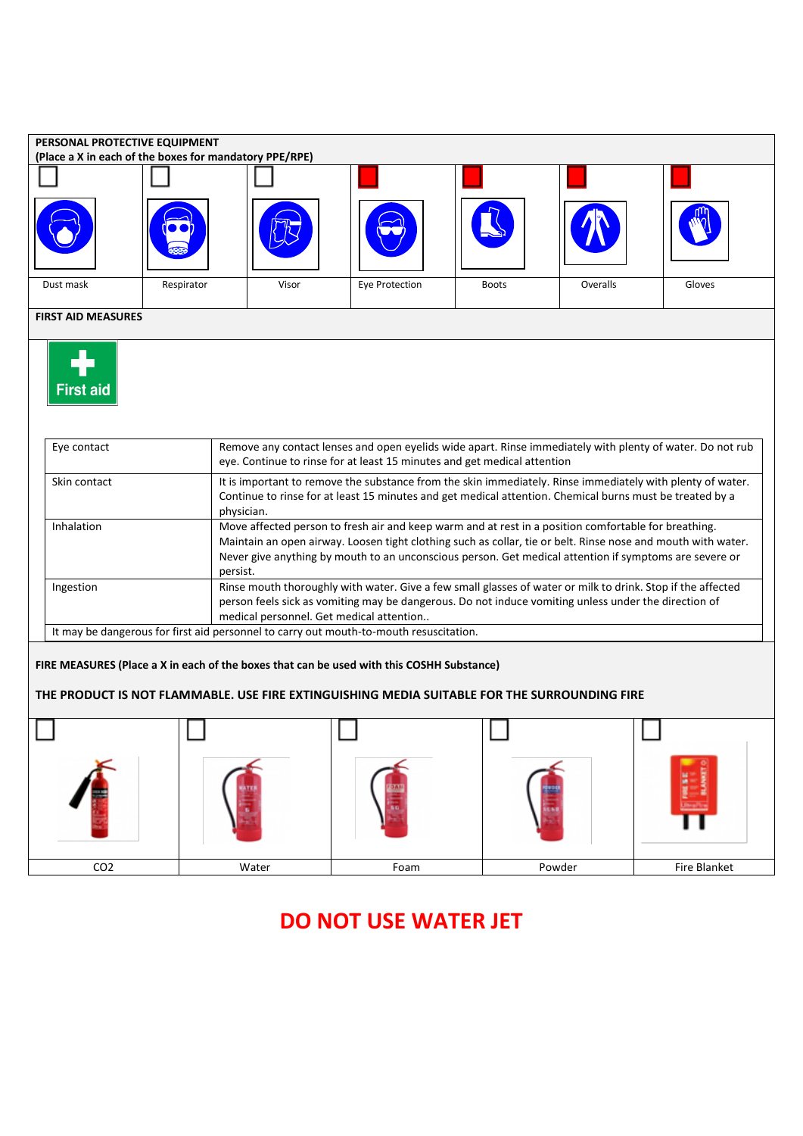

## **DO NOT USE WATER JET**